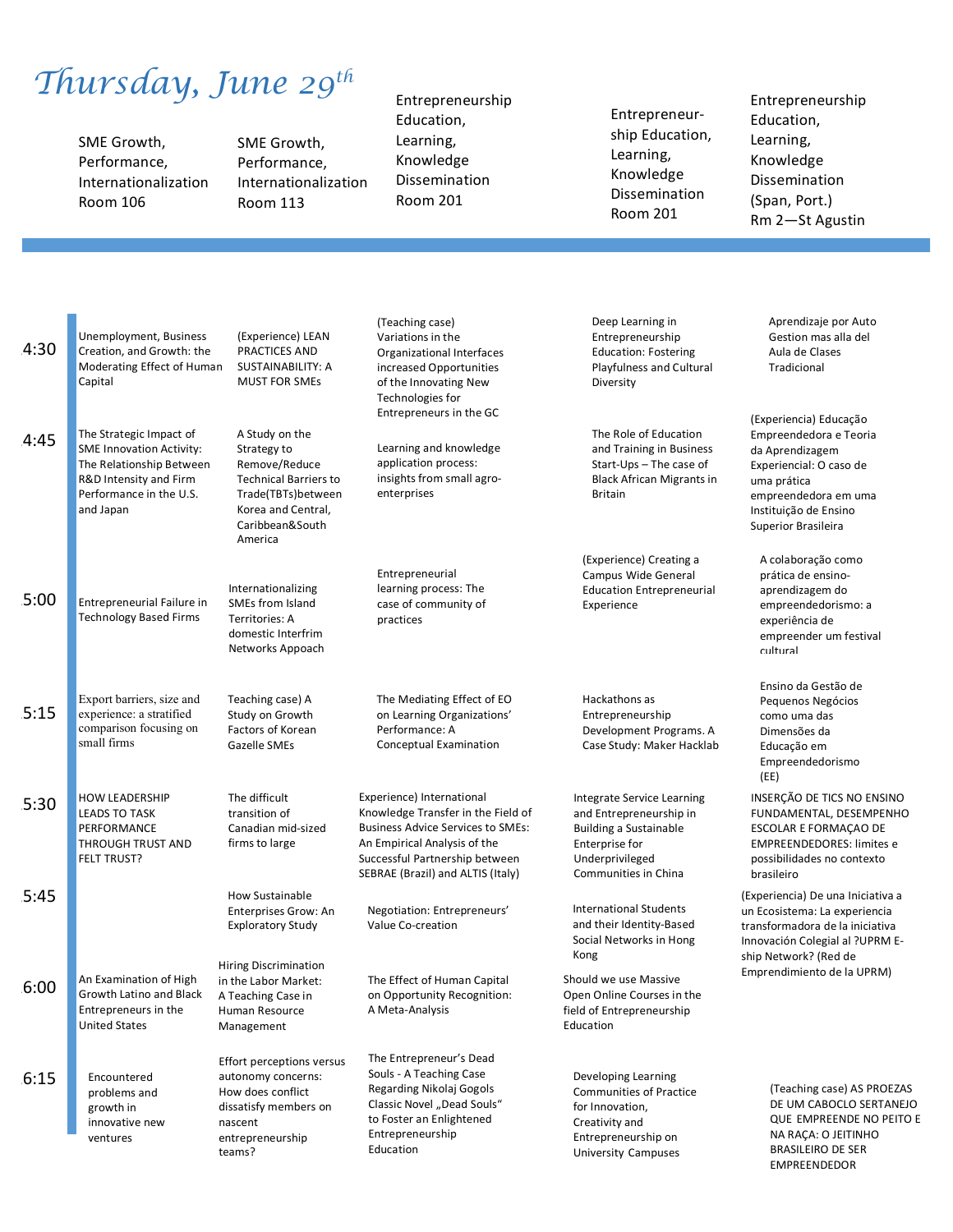## *Thursday, June 29th*

SME Growth, Performance, Internationalization Room 106

SME Growth, Performance, Internationalization Room 113

#### Entrepreneurship Education, Learning, Knowledge

Dissemination Room 201 

Entrepreneurship Education, Learning, Knowledge Dissemination Room 201 

### Entrepreneurship Education, Learning, Knowledge Dissemination (Span, Port.) Rm 2—St Agustin

EMPREENDEDOR

| 4:30 | Unemployment, Business<br>Creation, and Growth: the<br>Moderating Effect of Human<br>Capital                                                             | (Experience) LEAN<br>PRACTICES AND<br>SUSTAINABILITY: A<br><b>MUST FOR SMEs</b>                                                                          | (Teaching case)<br>Variations in the<br>Organizational Interfaces<br>increased Opportunities<br>of the Innovating New<br>Technologies for<br>Entrepreneurs in the GC                                               | Deep Learning in<br>Entrepreneurship<br><b>Education: Fostering</b><br>Playfulness and Cultural<br>Diversity                                        | Aprendizaje por Auto<br>Gestion mas alla del<br>Aula de Clases<br>Tradicional                                                                                                         |  |
|------|----------------------------------------------------------------------------------------------------------------------------------------------------------|----------------------------------------------------------------------------------------------------------------------------------------------------------|--------------------------------------------------------------------------------------------------------------------------------------------------------------------------------------------------------------------|-----------------------------------------------------------------------------------------------------------------------------------------------------|---------------------------------------------------------------------------------------------------------------------------------------------------------------------------------------|--|
| 4:45 | The Strategic Impact of<br><b>SME Innovation Activity:</b><br>The Relationship Between<br>R&D Intensity and Firm<br>Performance in the U.S.<br>and Japan | A Study on the<br>Strategy to<br>Remove/Reduce<br><b>Technical Barriers to</b><br>Trade(TBTs)between<br>Korea and Central,<br>Caribbean&South<br>America | Learning and knowledge<br>application process:<br>insights from small agro-<br>enterprises                                                                                                                         | The Role of Education<br>and Training in Business<br>Start-Ups - The case of<br><b>Black African Migrants in</b><br><b>Britain</b>                  | (Experiencia) Educação<br>Empreendedora e Teoria<br>da Aprendizagem<br>Experiencial: O caso de<br>uma prática<br>empreendedora em uma<br>Instituição de Ensino<br>Superior Brasileira |  |
| 5:00 | Entrepreneurial Failure in<br><b>Technology Based Firms</b>                                                                                              | Internationalizing<br>SMEs from Island<br>Territories: A<br>domestic Interfrim<br>Networks Appoach                                                       | Entrepreneurial<br>learning process: The<br>case of community of<br>practices                                                                                                                                      | (Experience) Creating a<br>Campus Wide General<br><b>Education Entrepreneurial</b><br>Experience                                                    | A colaboração como<br>prática de ensino-<br>aprendizagem do<br>empreendedorismo: a<br>experiência de<br>empreender um festival<br>cultural                                            |  |
| 5:15 | Export barriers, size and<br>experience: a stratified<br>comparison focusing on<br>small firms                                                           | Teaching case) A<br>Study on Growth<br>Factors of Korean<br>Gazelle SMEs                                                                                 | The Mediating Effect of EO<br>on Learning Organizations'<br>Performance: A<br>Conceptual Examination                                                                                                               | Hackathons as<br>Entrepreneurship<br>Development Programs. A<br>Case Study: Maker Hacklab                                                           | Ensino da Gestão de<br>Pequenos Negócios<br>como uma das<br>Dimensões da<br>Educação em<br>Empreendedorismo<br>(EE)                                                                   |  |
| 5:30 | <b>HOW LEADERSHIP</b><br><b>LEADS TO TASK</b><br>PERFORMANCE<br><b>THROUGH TRUST AND</b><br><b>FELT TRUST?</b>                                           | The difficult<br>transition of<br>Canadian mid-sized<br>firms to large                                                                                   | Experience) International<br>Knowledge Transfer in the Field of<br><b>Business Advice Services to SMEs:</b><br>An Empirical Analysis of the<br>Successful Partnership between<br>SEBRAE (Brazil) and ALTIS (Italy) | Integrate Service Learning<br>and Entrepreneurship in<br><b>Building a Sustainable</b><br>Enterprise for<br>Underprivileged<br>Communities in China | INSERÇÃO DE TICS NO ENSINO<br>FUNDAMENTAL, DESEMPENHO<br>ESCOLAR E FORMAÇÃO DE<br><b>EMPREENDEDORES: limites e</b><br>possibilidades no contexto<br>brasileiro                        |  |
| 5:45 |                                                                                                                                                          | How Sustainable<br>Enterprises Grow: An<br><b>Exploratory Study</b>                                                                                      | Negotiation: Entrepreneurs'<br>Value Co-creation                                                                                                                                                                   | <b>International Students</b><br>and their Identity-Based<br>Social Networks in Hong<br>Kong                                                        | (Experiencia) De una Iniciativa a<br>un Ecosistema: La experiencia<br>transformadora de la iniciativa<br>Innovación Colegial al ?UPRM E-<br>ship Network? (Red de                     |  |
| 6:00 | An Examination of High<br>Growth Latino and Black<br>Entrepreneurs in the<br><b>United States</b>                                                        | <b>Hiring Discrimination</b><br>in the Labor Market:<br>A Teaching Case in<br>Human Resource<br>Management                                               | The Effect of Human Capital<br>on Opportunity Recognition:<br>A Meta-Analysis                                                                                                                                      | Should we use Massive<br>Open Online Courses in the<br>field of Entrepreneurship<br>Education                                                       | Emprendimiento de la UPRM)                                                                                                                                                            |  |
| 6:15 | Encountered<br>problems and<br>growth in<br>innovative new<br>ventures                                                                                   | <b>Effort perceptions versus</b><br>autonomy concerns:<br>How does conflict<br>dissatisfy members on<br>nascent<br>entrepreneurship<br>teams?            | The Entrepreneur's Dead<br>Souls - A Teaching Case<br>Regarding Nikolaj Gogols<br>Classic Novel "Dead Souls"<br>to Foster an Enlightened<br>Entrepreneurship<br>Education                                          | Developing Learning<br><b>Communities of Practice</b><br>for Innovation.<br>Creativity and<br>Entrepreneurship on<br><b>University Campuses</b>     | (Teaching case) AS PROEZAS<br>DE UM CABOCLO SERTANEJO<br>QUE EMPREENDE NO PEITO E<br>NA RACA: O JEITINHO<br><b>BRASILEIRO DE SER</b>                                                  |  |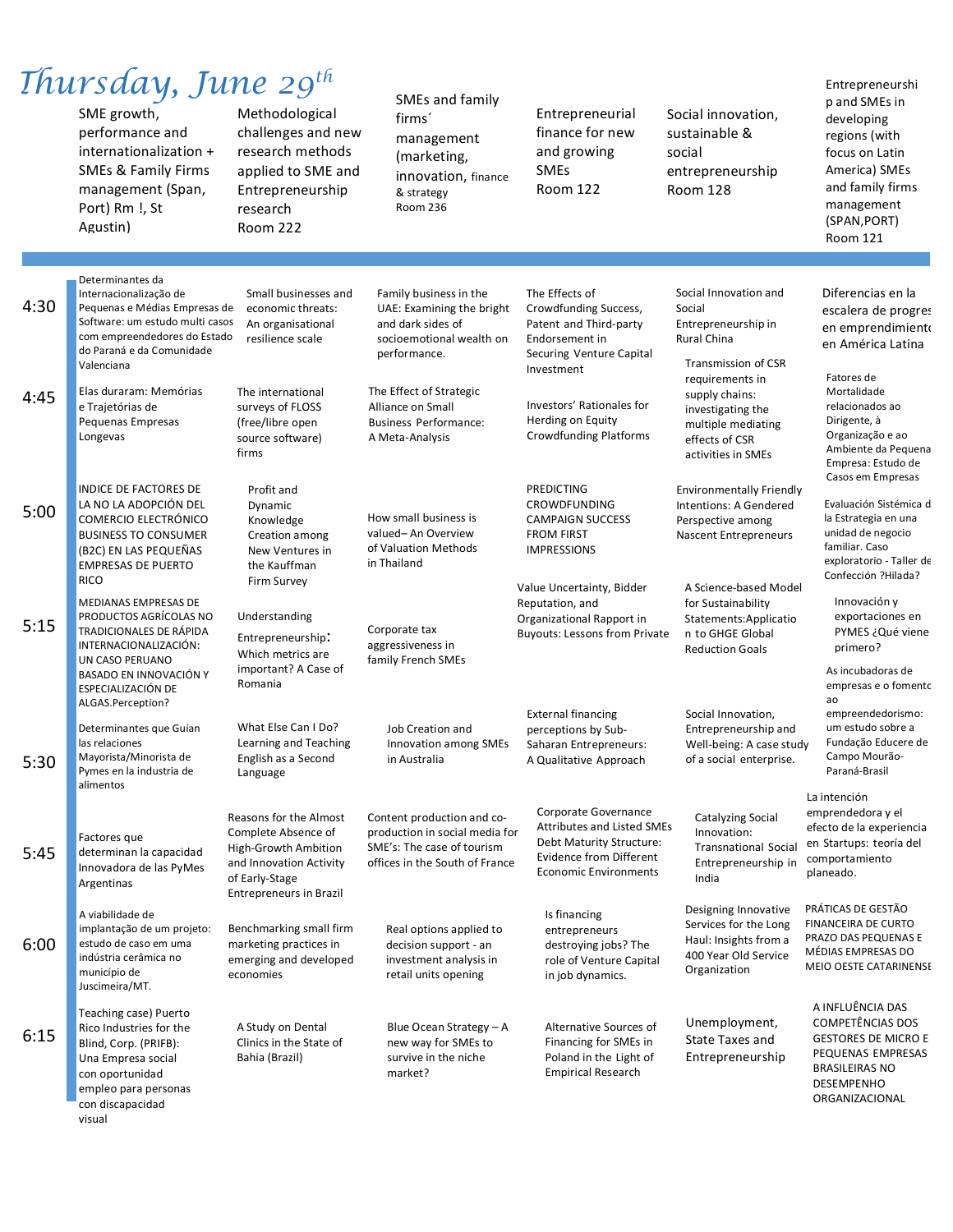# *Thursday, June 29th*

SME growth, performance and internationalization + SMEs & Family Firms management (Span, Port) Rm !, St Agustin)

visual

## Methodological

challenges and new research methods applied to SME and Entrepreneurship research Room 222

### SMEs and family

firms´ management (marketing, innovation, finance & strategy Room 236

Entrepreneurial finance for new and growing SMEs Room 122

Social innovation, sustainable & social entrepreneurship Room 128

Entrepreneurshi p and SMEs in developing regions (with focus on Latin America) SMEs and family firms management (SPAN,PORT) Room 121

| 4:30 | Determinantes da<br>Internacionalização de<br>Pequenas e Médias Empresas de<br>Software: um estudo multi casos<br>com empreendedores do Estado<br>do Paraná e da Comunidade<br>Valenciana                       | Small businesses and<br>economic threats:<br>An organisational<br>resilience scale                                                                   | Family business in the<br>UAE: Examining the bright<br>and dark sides of<br>socioemotional wealth on<br>performance.         | The Effects of<br>Crowdfunding Success,<br>Patent and Third-party<br>Endorsement in<br>Securing Venture Capital<br>Investment                           | Social Innovation and<br>Social<br>Entrepreneurship in<br>Rural China<br><b>Transmission of CSR</b>                                     | Diferencias en la<br>escalera de progres<br>en emprendimiento<br>en América Latina                                                                            |
|------|-----------------------------------------------------------------------------------------------------------------------------------------------------------------------------------------------------------------|------------------------------------------------------------------------------------------------------------------------------------------------------|------------------------------------------------------------------------------------------------------------------------------|---------------------------------------------------------------------------------------------------------------------------------------------------------|-----------------------------------------------------------------------------------------------------------------------------------------|---------------------------------------------------------------------------------------------------------------------------------------------------------------|
| 4:45 | Elas duraram: Memórias<br>e Trajetórias de<br>Pequenas Empresas<br>Longevas                                                                                                                                     | The international<br>surveys of FLOSS<br>(free/libre open<br>source software)<br>firms                                                               | The Effect of Strategic<br>Alliance on Small<br><b>Business Performance:</b><br>A Meta-Analysis                              | Investors' Rationales for<br>Herding on Equity<br><b>Crowdfunding Platforms</b>                                                                         | requirements in<br>supply chains:<br>investigating the<br>multiple mediating<br>effects of CSR<br>activities in SMEs                    | Fatores de<br>Mortalidade<br>relacionados ao<br>Dirigente, à<br>Organização e ao<br>Ambiente da Pequena<br>Empresa: Estudo de                                 |
| 5:00 | <b>INDICE DE FACTORES DE</b><br>LA NO LA ADOPCIÓN DEL<br><b>COMERCIO ELECTRÓNICO</b><br><b>BUSINESS TO CONSUMER</b><br>(B2C) EN LAS PEQUEÑAS<br><b>EMPRESAS DE PUERTO</b><br><b>RICO</b>                        | Profit and<br>Dynamic<br>Knowledge<br>Creation among<br>New Ventures in<br>the Kauffman<br>Firm Survey                                               | How small business is<br>valued-An Overview<br>of Valuation Methods<br>in Thailand                                           | <b>PREDICTING</b><br>CROWDFUNDING<br><b>CAMPAIGN SUCCESS</b><br><b>FROM FIRST</b><br><b>IMPRESSIONS</b><br>Value Uncertainty, Bidder                    | <b>Environmentally Friendly</b><br>Intentions: A Gendered<br>Perspective among<br><b>Nascent Entrepreneurs</b><br>A Science-based Model | Casos em Empresas<br>Evaluación Sistémica d<br>la Estrategia en una<br>unidad de negocio<br>familiar. Caso<br>exploratorio - Taller de<br>Confección ?Hilada? |
| 5:15 | <b>MEDIANAS EMPRESAS DE</b><br><b>PRODUCTOS AGRÍCOLAS NO</b><br><b>TRADICIONALES DE RÁPIDA</b><br>INTERNACIONALIZACIÓN:<br>UN CASO PERUANO<br>BASADO EN INNOVACIÓN Y<br>ESPECIALIZACIÓN DE<br>ALGAS.Perception? | Understanding<br>Entrepreneurship:<br>Which metrics are<br>important? A Case of<br>Romania                                                           | Corporate tax<br>aggressiveness in<br>family French SMEs                                                                     | Reputation, and<br>Organizational Rapport in<br><b>Buyouts: Lessons from Private</b>                                                                    | for Sustainability<br>Statements:Applicatio<br>n to GHGE Global<br><b>Reduction Goals</b>                                               | Innovación y<br>exportaciones en<br>PYMES ¿Qué viene<br>primero?<br>As incubadoras de<br>empresas e o fomento<br>ao                                           |
| 5:30 | Determinantes que Guían<br>las relaciones<br>Mayorista/Minorista de<br>Pymes en la industria de<br>alimentos                                                                                                    | What Else Can I Do?<br>Learning and Teaching<br>English as a Second<br>Language                                                                      | Job Creation and<br>Innovation among SMEs<br>in Australia                                                                    | <b>External financing</b><br>perceptions by Sub-<br>Saharan Entrepreneurs:<br>A Qualitative Approach                                                    | Social Innovation,<br>Entrepreneurship and<br>Well-being: A case study<br>of a social enterprise.                                       | empreendedorismo:<br>um estudo sobre a<br>Fundação Educere de<br>Campo Mourão-<br>Paraná-Brasil                                                               |
| 5:45 | Factores que<br>determinan la capacidad<br>Innovadora de las PyMes<br>Argentinas                                                                                                                                | Reasons for the Almost<br>Complete Absence of<br>High-Growth Ambition<br>and Innovation Activity<br>of Early-Stage<br><b>Entrepreneurs in Brazil</b> | Content production and co-<br>production in social media for<br>SME's: The case of tourism<br>offices in the South of France | Corporate Governance<br><b>Attributes and Listed SMEs</b><br>Debt Maturity Structure:<br><b>Evidence from Different</b><br><b>Economic Environments</b> | <b>Catalyzing Social</b><br>Innovation:<br><b>Transnational Social</b><br>Entrepreneurship in<br>India                                  | La intención<br>emprendedora y el<br>efecto de la experiencia<br>en Startups: teoría del<br>comportamiento<br>planeado.                                       |
| 6:00 | A viabilidade de<br>implantação de um projeto:<br>estudo de caso em uma<br>indústria cerâmica no<br>município de<br>Juscimeira/MT.                                                                              | Benchmarking small firm<br>marketing practices in<br>emerging and developed<br>economies                                                             | Real options applied to<br>decision support - an<br>investment analysis in<br>retail units opening                           | Is financing<br>entrepreneurs<br>destroying jobs? The<br>role of Venture Capital<br>in job dynamics.                                                    | Designing Innovative<br>Services for the Long<br>Haul: Insights from a<br>400 Year Old Service<br>Organization                          | PRÁTICAS DE GESTÃO<br><b>FINANCEIRA DE CURTO</b><br>PRAZO DAS PEQUENAS E<br>MÉDIAS EMPRESAS DO<br>MEIO OESTE CATARINENSE                                      |
| 6:15 | Teaching case) Puerto<br>Rico Industries for the<br>Blind, Corp. (PRIFB):<br>Una Empresa social<br>con oportunidad<br>empleo para personas<br>con discapacidad                                                  | A Study on Dental<br>Clinics in the State of<br>Bahia (Brazil)                                                                                       | Blue Ocean Strategy - A<br>new way for SMEs to<br>survive in the niche<br>market?                                            | Alternative Sources of<br>Financing for SMEs in<br>Poland in the Light of<br><b>Empirical Research</b>                                                  | Unemployment,<br><b>State Taxes and</b><br>Entrepreneurship                                                                             | A INFLUÊNCIA DAS<br><b>COMPETÊNCIAS DOS</b><br><b>GESTORES DE MICRO E</b><br>PEQUENAS EMPRESAS<br><b>BRASILEIRAS NO</b><br>DESEMPENHO<br>ORGANIZACIONAL       |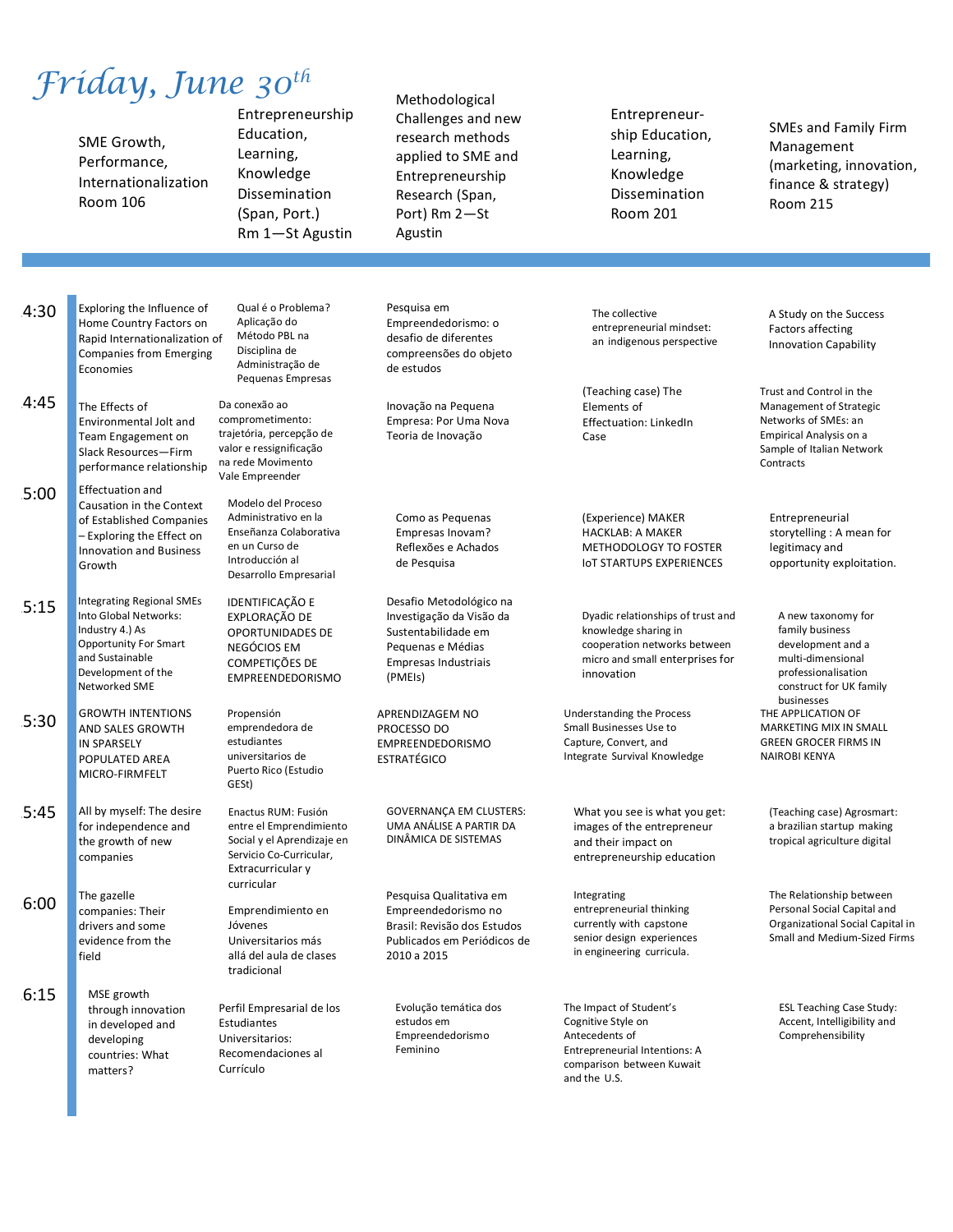## *Friday, June 30th*

SME Growth, Performance, Internationalization Room 106

Entrepreneurship Education, Learning, Knowledge Dissemination (Span, Port.) Rm 1—St Agustin

Methodological Challenges and new research methods applied to SME and Entrepreneurship Research (Span, Port) Rm 2-St Agustin

Entrepreneurship Education, Learning, Knowledge Dissemination Room 201 

SMEs and Family Firm Management (marketing, innovation, finance & strategy) Room 215

 $4:30$ 14:45 15:00 15:15 15:30 15:45 Exploring the Influence of Home Country Factors on Rapid Internationalization of Companies from Emerging Economies The Effects of Environmental Jolt and Team Engagement on Slack Resources—Firm performance relationship Effectuation and Causation in the Context of Established Companies - Exploring the Effect on Innovation and Business Growth Integrating Regional SMEs Into Global Networks: Industry 4.) As Opportunity For Smart and Sustainable Development of the Networked SME **GROWTH INTENTIONS AND SALES GROWTH** IN SPARSELY POPULATED AREA MICRO-FIRMFELT All by myself: The desire for independence and the growth of new Da conexão ao Propensión estudiantes GESt)

16:00 The gazelle companies: Their drivers and some evidence from the field

companies

16:15 MSE growth through innovation in developed and developing countries: What matters?

Qual é o Problema? Aplicação do Método PBL na Disciplina de Administração de Pequenas Empresas

comprometimento: trajetória, percepção de valor e ressignificação na rede Movimento Vale Empreender

Modelo del Proceso Administrativo en la Enseñanza Colaborativa en un Curso de Introducción al Desarrollo Empresarial

**IDENTIFICAÇÃO E** EXPLORAÇÃO DE OPORTUNIDADES DE **NEGÓCIOS EM** COMPETICÕES DE EMPREENDEDORISMO

emprendedora de universitarios de Puerto Rico (Estudio

Enactus RUM: Fusión entre el Emprendimiento Social y el Aprendizaje en Servicio Co-Curricular, Extracurricular v curricular

Emprendimiento en Jóvenes Universitarios más allá del aula de clases tradicional

Perfil Empresarial de los Estudiantes Universitarios: Recomendaciones al Currículo

Pesquisa em Empreendedorismo: o desafio de diferentes compreensões do objeto de estudos

Inovação na Pequena Empresa: Por Uma Nova Teoria de Inovação

Como as Pequenas Empresas Inovam? Reflexões e Achados de Pesquisa

Desafio Metodológico na Investigação da Visão da Sustentabilidade em Pequenas e Médias Empresas Industriais (PMEIs)

APRENDIZAGEM NO PROCESSO DO EMPREENDEDORISMO ESTRATÉGICO

GOVERNANÇA EM CLUSTERS: UMA ANÁLISE A PARTIR DA DINÂMICA DE SISTEMAS

Pesquisa Qualitativa em Empreendedorismo no Brasil: Revisão dos Estudos Publicados em Periódicos de 2010 a 2015

Evolução temática dos estudos em Empreendedorismo Feminino

The collective entrepreneurial mindset: an indigenous perspective

(Teaching case) The Elements of Effectuation: LinkedIn Case

(Experience) MAKER HACKLAB: A MAKER METHODOLOGY TO FOSTER **IOT STARTUPS EXPERIENCES** 

Dyadic relationships of trust and knowledge sharing in cooperation networks between micro and small enterprises for innovation

Understanding the Process Small Businesses Use to Capture, Convert, and Integrate Survival Knowledge

What you see is what you get: images of the entrepreneur and their impact on entrepreneurship education

Integrating entrepreneurial thinking currently with capstone senior design experiences in engineering curricula.

The Impact of Student's Cognitive Style on Antecedents of Entrepreneurial Intentions: A comparison between Kuwait and the U.S.

A Study on the Success Factors affecting Innovation Capability

Trust and Control in the Management of Strategic Networks of SMEs: an Empirical Analysis on a Sample of Italian Network **Contracts** 

Entrepreneurial storytelling : A mean for legitimacy and opportunity exploitation.

A new taxonomy for family husiness development and a multi-dimensional professionalisation construct for UK family businesses THE APPLICATION OF MARKETING MIX IN SMALL **GREEN GROCER FIRMS IN NAIROBI KENYA** 

(Teaching case) Agrosmart: a brazilian startup making tropical agriculture digital

The Relationship between Personal Social Capital and Organizational Social Capital in Small and Medium-Sized Firms

ESL Teaching Case Study: Accent, Intelligibility and Comprehensibility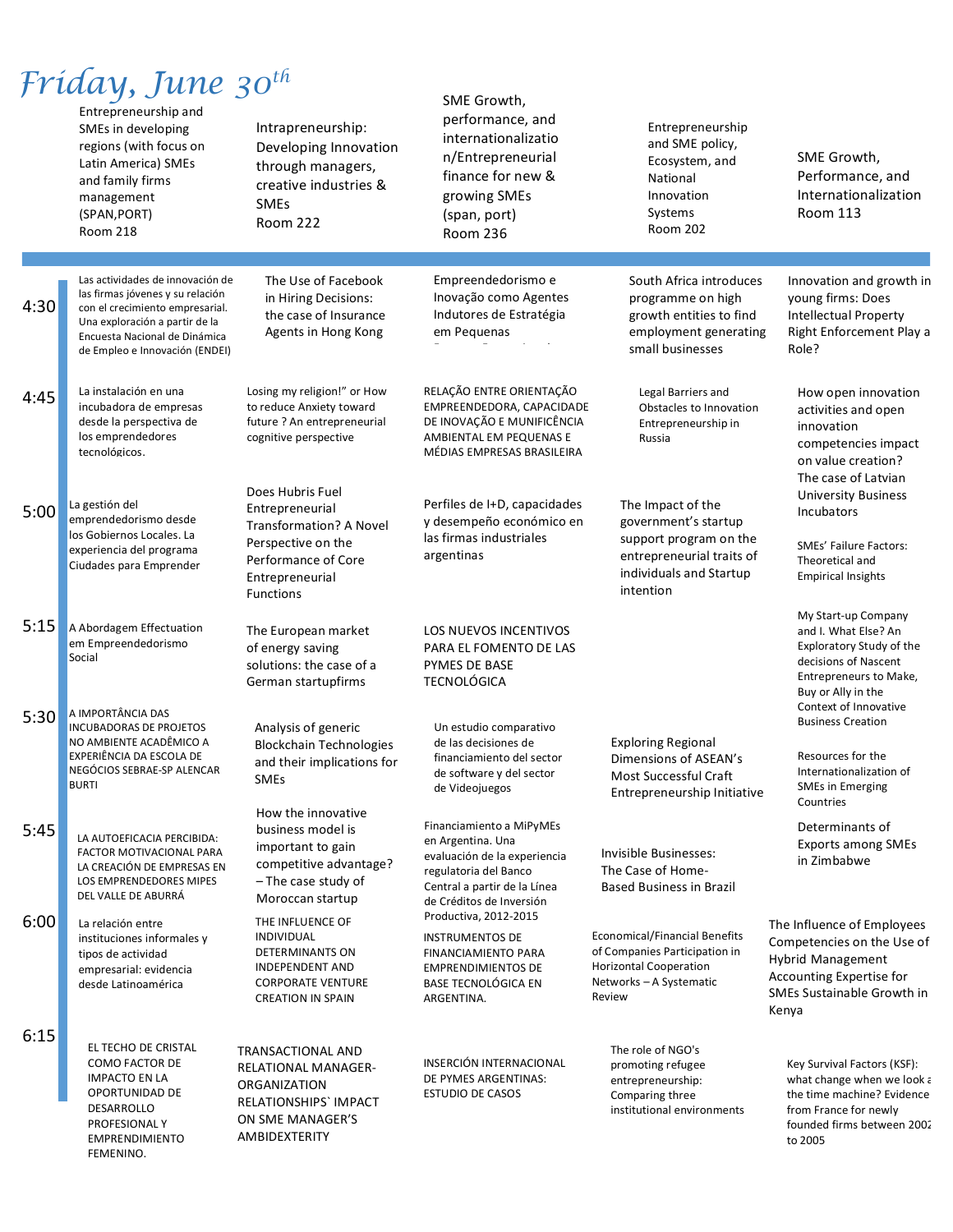|      | Fríday, June 30 <sup>th</sup><br>Entrepreneurship and<br>SMEs in developing<br>regions (with focus on<br>Latin America) SMEs<br>and family firms<br>management<br>(SPAN, PORT)<br><b>Room 218</b>            | Intrapreneurship:<br>Developing Innovation<br>through managers,<br>creative industries &<br><b>SMEs</b><br>Room 222                         | SME Growth,<br>performance, and<br>internationalizatio<br>n/Entrepreneurial<br>finance for new &<br>growing SMEs<br>(span, port)<br><b>Room 236</b>                | Entrepreneurship<br>and SME policy,<br>Ecosystem, and<br>National<br>Innovation<br>Systems<br>Room 202                                      | SME Growth,<br>Performance, and<br>Internationalization<br><b>Room 113</b>                                                                                               |
|------|--------------------------------------------------------------------------------------------------------------------------------------------------------------------------------------------------------------|---------------------------------------------------------------------------------------------------------------------------------------------|--------------------------------------------------------------------------------------------------------------------------------------------------------------------|---------------------------------------------------------------------------------------------------------------------------------------------|--------------------------------------------------------------------------------------------------------------------------------------------------------------------------|
| 4:30 | Las actividades de innovación de<br>las firmas jóvenes y su relación<br>con el crecimiento empresarial.<br>Una exploración a partir de la<br>Encuesta Nacional de Dinámica<br>de Empleo e Innovación (ENDEI) | The Use of Facebook<br>in Hiring Decisions:<br>the case of Insurance<br>Agents in Hong Kong                                                 | Empreendedorismo e<br>Inovação como Agentes<br>Indutores de Estratégia<br>em Pequenas                                                                              | South Africa introduces<br>programme on high<br>growth entities to find<br>employment generating<br>small businesses                        | Innovation and growth in<br>young firms: Does<br>Intellectual Property<br>Right Enforcement Play a<br>Role?                                                              |
| 4:45 | La instalación en una<br>incubadora de empresas<br>desde la perspectiva de<br>los emprendedores<br>tecnológicos.                                                                                             | Losing my religion!" or How<br>to reduce Anxiety toward<br>future ? An entrepreneurial<br>cognitive perspective                             | RELAÇÃO ENTRE ORIENTAÇÃO<br>EMPREENDEDORA, CAPACIDADE<br>DE INOVAÇÃO E MUNIFICÊNCIA<br>AMBIENTAL EM PEQUENAS E<br>MÉDIAS EMPRESAS BRASILEIRA                       | Legal Barriers and<br>Obstacles to Innovation<br>Entrepreneurship in<br>Russia                                                              | How open innovation<br>activities and open<br>innovation<br>competencies impact<br>on value creation?<br>The case of Latvian                                             |
| 5:00 | La gestión del<br>emprendedorismo desde<br>los Gobiernos Locales. La<br>experiencia del programa<br>Ciudades para Emprender                                                                                  | Does Hubris Fuel<br>Entrepreneurial<br>Transformation? A Novel<br>Perspective on the<br>Performance of Core<br>Entrepreneurial<br>Functions | Perfiles de I+D, capacidades<br>y desempeño económico en<br>las firmas industriales<br>argentinas                                                                  | The Impact of the<br>government's startup<br>support program on the<br>entrepreneurial traits of<br>individuals and Startup<br>intention    | <b>University Business</b><br>Incubators<br><b>SMEs' Failure Factors:</b><br>Theoretical and<br><b>Empirical Insights</b>                                                |
| 5:15 | A Abordagem Effectuation<br>em Empreendedorismo<br>Social                                                                                                                                                    | The European market<br>of energy saving<br>solutions: the case of a<br>German startupfirms                                                  | <b>LOS NUEVOS INCENTIVOS</b><br>PARA EL FOMENTO DE LAS<br>PYMES DE BASE<br><b>TECNOLÓGICA</b>                                                                      |                                                                                                                                             | My Start-up Company<br>and I. What Else? An<br>Exploratory Study of the<br>decisions of Nascent<br>Entrepreneurs to Make,<br>Buy or Ally in the<br>Context of Innovative |
| 5:30 | A IMPORTÂNCIA DAS<br><b>INCUBADORAS DE PROJETOS</b><br>NO AMBIENTE ACADÊMICO A<br>EXPERIÊNCIA DA ESCOLA DE<br>NEGÓCIOS SEBRAE-SP ALENCAR<br><b>BURTI</b>                                                     | Analysis of generic<br><b>Blockchain Technologies</b><br>and their implications for<br><b>SMEs</b>                                          | Un estudio comparativo<br>de las decisiones de<br>financiamiento del sector<br>de software y del sector<br>de Videojuegos                                          | <b>Exploring Regional</b><br>Dimensions of ASEAN's<br><b>Most Successful Craft</b><br>Entrepreneurship Initiative                           | <b>Business Creation</b><br>Resources for the<br>Internationalization of<br><b>SMEs in Emerging</b><br>Countries                                                         |
| 5:45 | LA AUTOEFICACIA PERCIBIDA:<br><b>FACTOR MOTIVACIONAL PARA</b><br>LA CREACIÓN DE EMPRESAS EN<br>LOS EMPRENDEDORES MIPES<br>DEL VALLE DE ABURRÁ                                                                | How the innovative<br>business model is<br>important to gain<br>competitive advantage?<br>- The case study of<br>Moroccan startup           | Financiamiento a MiPyMEs<br>en Argentina. Una<br>evaluación de la experiencia<br>regulatoria del Banco<br>Central a partir de la Línea<br>de Créditos de Inversión | Invisible Businesses:<br>The Case of Home-<br><b>Based Business in Brazil</b>                                                               | Determinants of<br>Exports among SMEs<br>in Zimbabwe                                                                                                                     |
| 6:00 | La relación entre<br>instituciones informales y<br>tipos de actividad<br>empresarial: evidencia<br>desde Latinoamérica                                                                                       | THE INFLUENCE OF<br><b>INDIVIDUAL</b><br>DETERMINANTS ON<br><b>INDEPENDENT AND</b><br><b>CORPORATE VENTURE</b><br><b>CREATION IN SPAIN</b>  | Productiva, 2012-2015<br><b>INSTRUMENTOS DE</b><br>FINANCIAMIENTO PARA<br><b>EMPRENDIMIENTOS DE</b><br><b>BASE TECNOLÓGICA EN</b><br>ARGENTINA.                    | <b>Economical/Financial Benefits</b><br>of Companies Participation in<br><b>Horizontal Cooperation</b><br>Networks - A Systematic<br>Review | The Influence of Employees<br>Competencies on the Use of<br>Hybrid Management<br>Accounting Expertise for<br>SMEs Sustainable Growth in<br>Kenya                         |
| 6:15 | EL TECHO DE CRISTAL<br><b>COMO FACTOR DE</b><br><b>IMPACTO EN LA</b><br>OPORTUNIDAD DE<br>DESARROLLO<br>PROFESIONAL Y<br><b>EMPRENDIMIENTO</b><br>FEMENINO.                                                  | TRANSACTIONAL AND<br><b>RELATIONAL MANAGER-</b><br>ORGANIZATION<br>RELATIONSHIPS`IMPACT<br>ON SME MANAGER'S<br>AMBIDEXTERITY                | INSERCIÓN INTERNACIONAL<br>DE PYMES ARGENTINAS:<br><b>ESTUDIO DE CASOS</b>                                                                                         | The role of NGO's<br>promoting refugee<br>entrepreneurship:<br>Comparing three<br>institutional environments                                | Key Survival Factors (KSF):<br>what change when we look a<br>the time machine? Evidence<br>from France for newly<br>founded firms between 2002<br>to 2005                |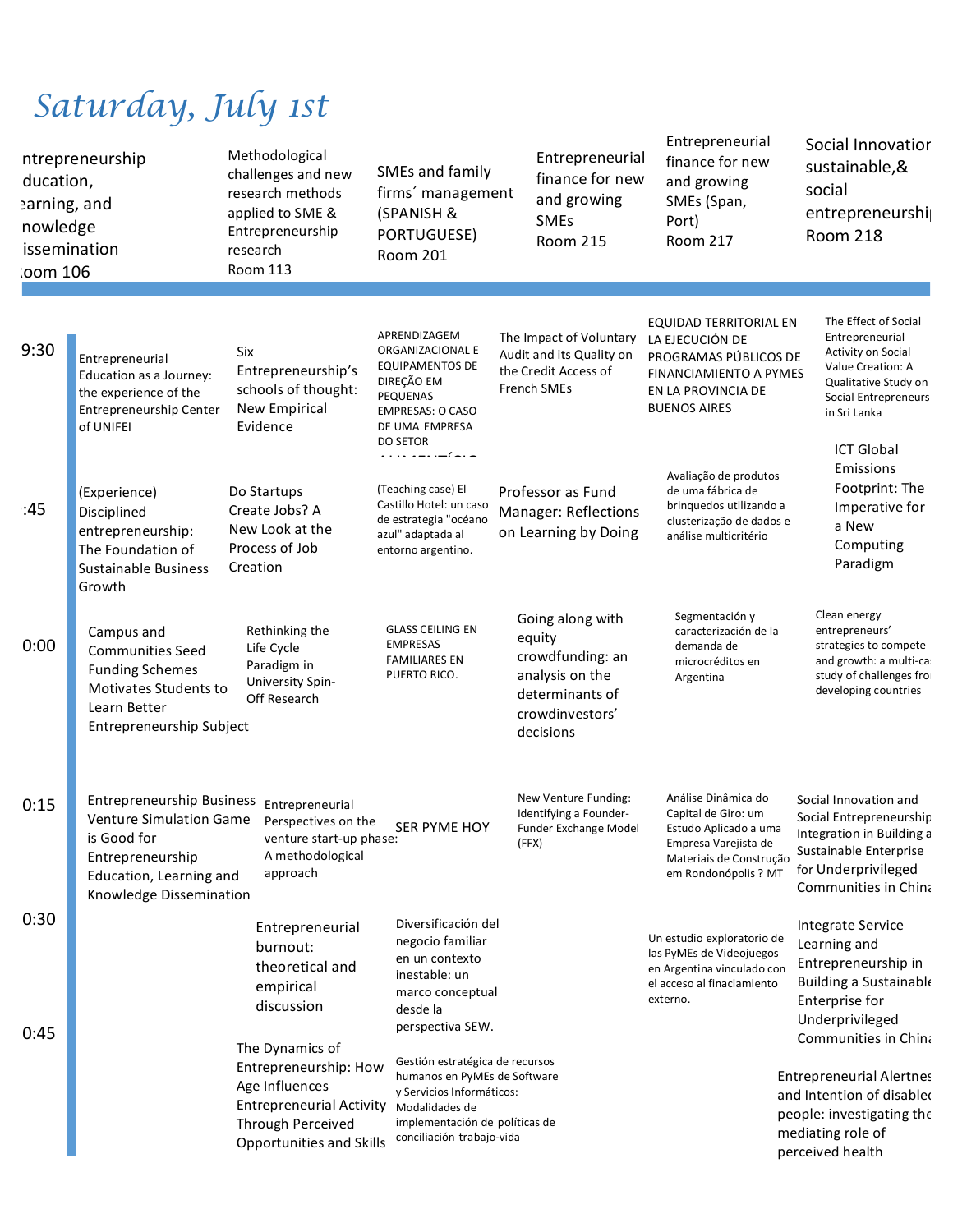# *Saturday, July 1st*

| ducation,<br>earning, and<br>nowledge<br>oom 106 | ntrepreneurship<br>issemination                                                                                                                             | Methodological<br>challenges and new<br>research methods<br>applied to SME &<br>Entrepreneurship<br>research<br><b>Room 113</b>                       | SMEs and family<br>firms' management<br>(SPANISH &<br>PORTUGUESE)<br><b>Room 201</b>                                                                                          | Entrepreneurial<br>finance for new<br>and growing<br><b>SMEs</b><br><b>Room 215</b>                                  | Entrepreneurial<br>finance for new<br>and growing<br>SMEs (Span,<br>Port)<br>Room 217                                                          | Social Innovatior<br>sustainable,&<br>social<br>entrepreneurshi<br><b>Room 218</b>                                                                                      |
|--------------------------------------------------|-------------------------------------------------------------------------------------------------------------------------------------------------------------|-------------------------------------------------------------------------------------------------------------------------------------------------------|-------------------------------------------------------------------------------------------------------------------------------------------------------------------------------|----------------------------------------------------------------------------------------------------------------------|------------------------------------------------------------------------------------------------------------------------------------------------|-------------------------------------------------------------------------------------------------------------------------------------------------------------------------|
|                                                  |                                                                                                                                                             |                                                                                                                                                       |                                                                                                                                                                               |                                                                                                                      |                                                                                                                                                |                                                                                                                                                                         |
| 9:30                                             | Entrepreneurial<br>Education as a Journey:<br>the experience of the<br><b>Entrepreneurship Center</b><br>of UNIFEI                                          | <b>Six</b><br>Entrepreneurship's<br>schools of thought:<br><b>New Empirical</b><br>Evidence                                                           | APRENDIZAGEM<br>ORGANIZACIONAL E<br><b>EQUIPAMENTOS DE</b><br>DIREÇÃO EM<br>PEQUENAS<br><b>EMPRESAS: O CASO</b><br>DE UMA EMPRESA<br><b>DO SETOR</b>                          | The Impact of Voluntary<br>Audit and its Quality on<br>the Credit Access of<br>French SMEs                           | EQUIDAD TERRITORIAL EN<br>LA EJECUCIÓN DE<br>PROGRAMAS PÚBLICOS DE<br>FINANCIAMIENTO A PYMES<br>EN LA PROVINCIA DE<br><b>BUENOS AIRES</b>      | The Effect of Social<br>Entrepreneurial<br>Activity on Social<br>Value Creation: A<br>Qualitative Study on<br>Social Entrepreneurs<br>in Sri Lanka<br><b>ICT Global</b> |
| :45                                              | (Experience)<br>Disciplined<br>entrepreneurship:<br>The Foundation of<br><b>Sustainable Business</b><br>Growth                                              | Do Startups<br>Create Jobs? A<br>New Look at the<br>Process of Job<br>Creation                                                                        | <br>(Teaching case) El<br>Castillo Hotel: un caso<br>de estrategia "océano<br>azul" adaptada al<br>entorno argentino.                                                         | Professor as Fund<br><b>Manager: Reflections</b><br>on Learning by Doing                                             | Avaliação de produtos<br>de uma fábrica de<br>brinquedos utilizando a<br>clusterização de dados e<br>análise multicritério                     | Emissions<br>Footprint: The<br>Imperative for<br>a New<br>Computing<br>Paradigm                                                                                         |
| 0:00                                             | Campus and<br><b>Communities Seed</b><br><b>Funding Schemes</b><br><b>Motivates Students to</b><br>Learn Better<br>Entrepreneurship Subject                 | Rethinking the<br>Life Cycle<br>Paradigm in<br>University Spin-<br>Off Research                                                                       | <b>GLASS CEILING EN</b><br><b>EMPRESAS</b><br><b>FAMILIARES EN</b><br>PUERTO RICO.                                                                                            | Going along with<br>equity<br>crowdfunding: an<br>analysis on the<br>determinants of<br>crowdinvestors'<br>decisions | Segmentación y<br>caracterización de la<br>demanda de<br>microcréditos en<br>Argentina                                                         | Clean energy<br>entrepreneurs'<br>strategies to compete<br>and growth: a multi-ca<br>study of challenges fro<br>developing countries                                    |
| 0:15                                             | <b>Entrepreneurship Business</b><br><b>Venture Simulation Game</b><br>is Good for<br>Entrepreneurship<br>Education, Learning and<br>Knowledge Dissemination | Entrepreneurial<br>Perspectives on the<br>venture start-up phase:<br>A methodological<br>approach                                                     | SER PYME HOY                                                                                                                                                                  | New Venture Funding:<br>Identifying a Founder-<br>Funder Exchange Model<br>(FFX)                                     | Análise Dinâmica do<br>Capital de Giro: um<br>Estudo Aplicado a uma<br>Empresa Varejista de<br>Materiais de Construção<br>em Rondonópolis ? MT | Social Innovation and<br>Social Entrepreneurship<br>Integration in Building a<br>Sustainable Enterprise<br>for Underprivileged<br>Communities in China                  |
| 0:30<br>0:45                                     |                                                                                                                                                             | Entrepreneurial<br>burnout:<br>theoretical and<br>empirical<br>discussion                                                                             | Diversificación del<br>negocio familiar<br>en un contexto<br>inestable: un<br>marco conceptual<br>desde la<br>perspectiva SEW.                                                |                                                                                                                      | Un estudio exploratorio de<br>las PyMEs de Videojuegos<br>en Argentina vinculado con<br>el acceso al finaciamiento<br>externo.                 | Integrate Service<br>Learning and<br>Entrepreneurship in<br>Building a Sustainable<br>Enterprise for<br>Underprivileged                                                 |
|                                                  |                                                                                                                                                             | The Dynamics of<br>Entrepreneurship: How<br>Age Influences<br><b>Entrepreneurial Activity</b><br>Through Perceived<br><b>Opportunities and Skills</b> | Gestión estratégica de recursos<br>humanos en PyMEs de Software<br>y Servicios Informáticos:<br>Modalidades de<br>implementación de políticas de<br>conciliación trabajo-vida |                                                                                                                      |                                                                                                                                                | Communities in China<br><b>Entrepreneurial Alertnes</b><br>and Intention of disabled<br>people: investigating the<br>mediating role of<br>perceived health              |